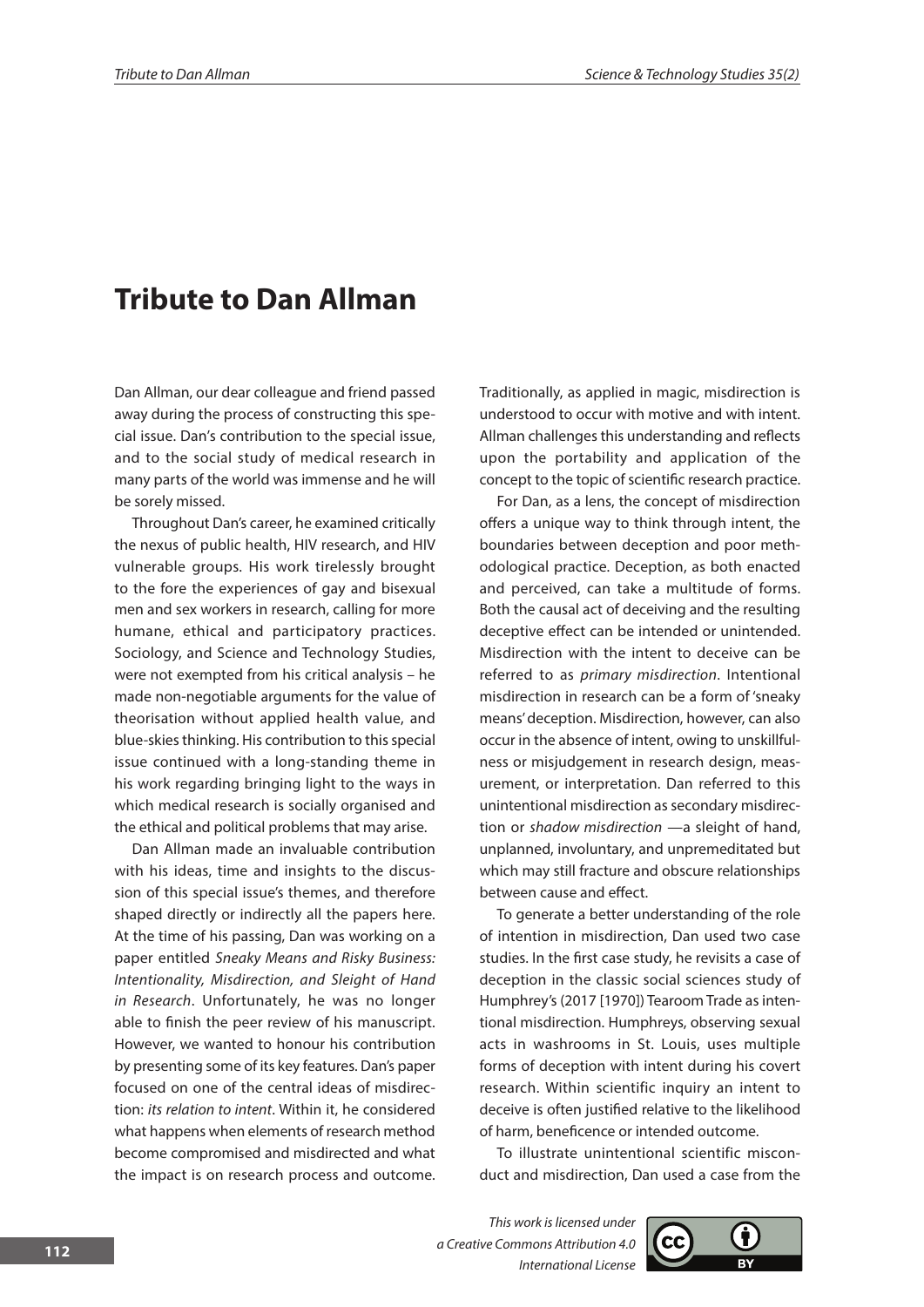## **Tribute to Dan Allman**

Dan Allman, our dear colleague and friend passed away during the process of constructing this special issue. Dan's contribution to the special issue, and to the social study of medical research in many parts of the world was immense and he will be sorely missed.

Throughout Dan's career, he examined critically the nexus of public health, HIV research, and HIV vulnerable groups. His work tirelessly brought to the fore the experiences of gay and bisexual men and sex workers in research, calling for more humane, ethical and participatory practices. Sociology, and Science and Technology Studies, were not exempted from his critical analysis – he made non-negotiable arguments for the value of theorisation without applied health value, and blue-skies thinking. His contribution to this special issue continued with a long-standing theme in his work regarding bringing light to the ways in which medical research is socially organised and the ethical and political problems that may arise.

Dan Allman made an invaluable contribution with his ideas, time and insights to the discussion of this special issue's themes, and therefore shaped directly or indirectly all the papers here. At the time of his passing, Dan was working on a paper entitled *Sneaky Means and Risky Business: Intentionality, Misdirection, and Sleight of Hand in Research*. Unfortunately, he was no longer able to finish the peer review of his manuscript. However, we wanted to honour his contribution by presenting some of its key features. Dan's paper focused on one of the central ideas of misdirection: *its relation to intent*. Within it, he considered what happens when elements of research method become compromised and misdirected and what the impact is on research process and outcome. Traditionally, as applied in magic, misdirection is understood to occur with motive and with intent. Allman challenges this understanding and reflects upon the portability and application of the concept to the topic of scientific research practice.

For Dan, as a lens, the concept of misdirection offers a unique way to think through intent, the boundaries between deception and poor methodological practice. Deception, as both enacted and perceived, can take a multitude of forms. Both the causal act of deceiving and the resulting deceptive effect can be intended or unintended. Misdirection with the intent to deceive can be referred to as *primary misdirection*. Intentional misdirection in research can be a form of 'sneaky means' deception. Misdirection, however, can also occur in the absence of intent, owing to unskillfulness or misjudgement in research design, measurement, or interpretation. Dan referred to this unintentional misdirection as secondary misdirection or *shadow misdirection* —a sleight of hand, unplanned, involuntary, and unpremeditated but which may still fracture and obscure relationships between cause and effect.

To generate a better understanding of the role of intention in misdirection, Dan used two case studies. In the first case study, he revisits a case of deception in the classic social sciences study of Humphrey's (2017 [1970]) Tearoom Trade as intentional misdirection. Humphreys, observing sexual acts in washrooms in St. Louis, uses multiple forms of deception with intent during his covert research. Within scientific inquiry an intent to deceive is often justified relative to the likelihood of harm, beneficence or intended outcome.

To illustrate unintentional scientific misconduct and misdirection, Dan used a case from the

*This work is licensed under a Creative Commons Attribution 4.0 International License*